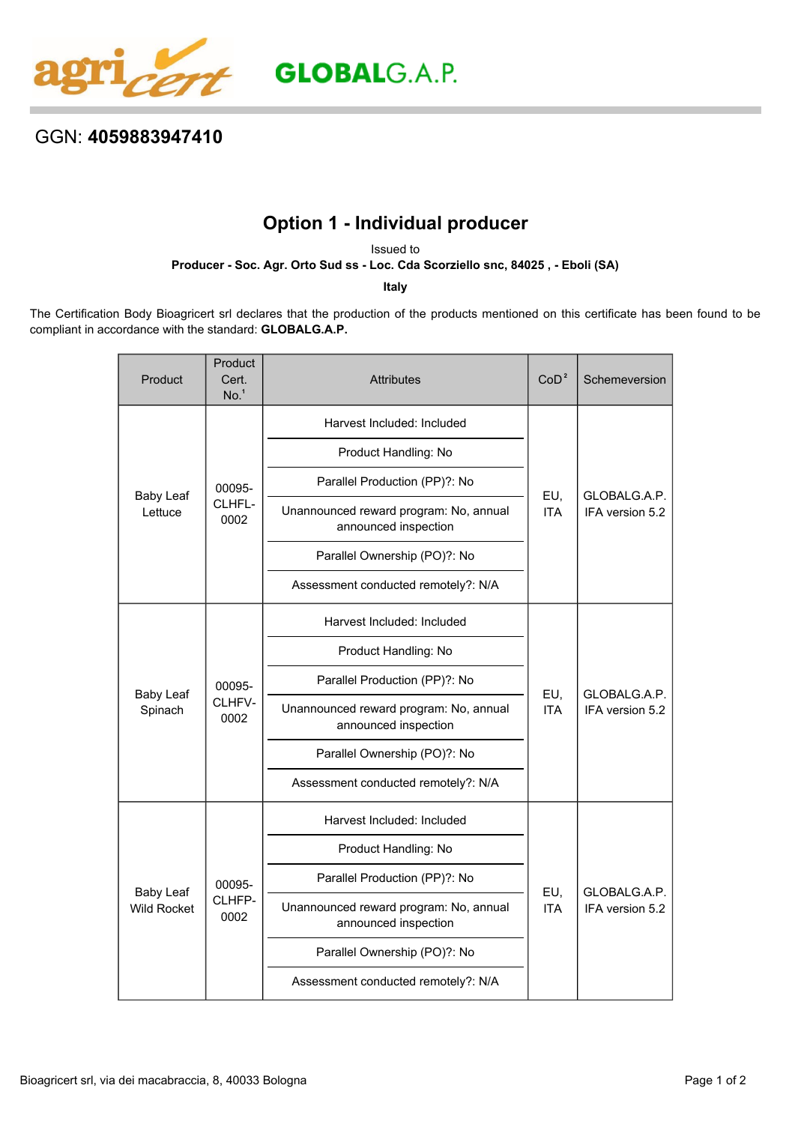

## GGN: **4059883947410**

## **Option 1 - Individual producer**

Issued to

**Producer - Soc. Agr. Orto Sud ss - Loc. Cda Scorziello snc, 84025 , - Eboli (SA)**

**Italy**

The Certification Body Bioagricert srl declares that the production of the products mentioned on this certificate has been found to be compliant in accordance with the standard: **GLOBALG.A.P.**

| Product                                | Product<br>Cert.<br>No. <sup>1</sup> | <b>Attributes</b>                                              | CoD <sup>2</sup>  | Schemeversion                   |
|----------------------------------------|--------------------------------------|----------------------------------------------------------------|-------------------|---------------------------------|
| <b>Baby Leaf</b><br>Lettuce            | 00095-<br>CLHFL-<br>0002             | Harvest Included: Included                                     | EU,<br><b>ITA</b> | GLOBALG.A.P.<br>IFA version 5.2 |
|                                        |                                      | Product Handling: No                                           |                   |                                 |
|                                        |                                      | Parallel Production (PP)?: No                                  |                   |                                 |
|                                        |                                      | Unannounced reward program: No, annual<br>announced inspection |                   |                                 |
|                                        |                                      | Parallel Ownership (PO)?: No                                   |                   |                                 |
|                                        |                                      | Assessment conducted remotely?: N/A                            |                   |                                 |
| <b>Baby Leaf</b><br>Spinach            | 00095-<br>CLHFV-<br>0002             | Harvest Included: Included                                     | EU,<br><b>ITA</b> | GLOBALG.A.P.<br>IFA version 5.2 |
|                                        |                                      | Product Handling: No                                           |                   |                                 |
|                                        |                                      | Parallel Production (PP)?: No                                  |                   |                                 |
|                                        |                                      | Unannounced reward program: No, annual<br>announced inspection |                   |                                 |
|                                        |                                      | Parallel Ownership (PO)?: No                                   |                   |                                 |
|                                        |                                      | Assessment conducted remotely?: N/A                            |                   |                                 |
| <b>Baby Leaf</b><br><b>Wild Rocket</b> | 00095-<br>CLHFP-<br>0002             | Harvest Included: Included                                     | EU,<br><b>ITA</b> | GLOBALG.A.P.<br>IFA version 5.2 |
|                                        |                                      | Product Handling: No                                           |                   |                                 |
|                                        |                                      | Parallel Production (PP)?: No                                  |                   |                                 |
|                                        |                                      | Unannounced reward program: No, annual<br>announced inspection |                   |                                 |
|                                        |                                      | Parallel Ownership (PO)?: No                                   |                   |                                 |
|                                        |                                      | Assessment conducted remotely?: N/A                            |                   |                                 |